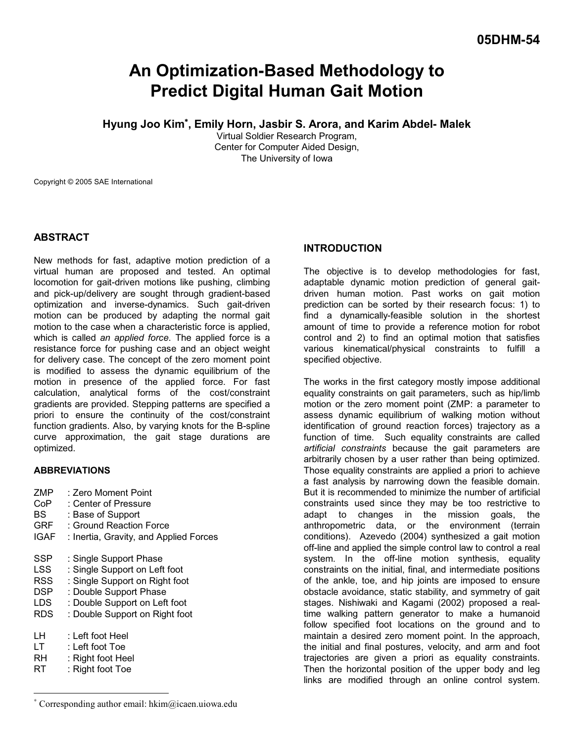# **An Optimization-Based Methodology to Predict Digital Human Gait Motion**

**Hyung Joo Kim**<sup>∗</sup> **, Emily Horn, Jasbir S. Arora, and Karim Abdel- Malek** 

Virtual Soldier Research Program, Center for Computer Aided Design, The University of Iowa

Copyright © 2005 SAE International

# **ABSTRACT**

New methods for fast, adaptive motion prediction of a virtual human are proposed and tested. An optimal locomotion for gait-driven motions like pushing, climbing and pick-up/delivery are sought through gradient-based optimization and inverse-dynamics. Such gait-driven motion can be produced by adapting the normal gait motion to the case when a characteristic force is applied, which is called an applied force. The applied force is a resistance force for pushing case and an object weight for delivery case. The concept of the zero moment point is modified to assess the dynamic equilibrium of the motion in presence of the applied force. For fast calculation, analytical forms of the cost/constraint gradients are provided. Stepping patterns are specified a priori to ensure the continuity of the cost/constraint function gradients. Also, by varying knots for the B-spline curve approximation, the gait stage durations are optimized.

# **ABBREVIATIONS**

- ZMP : Zero Moment Point
- CoP : Center of Pressure
- BS : Base of Support<br>GRF : Ground Reaction
- GRF : Ground Reaction Force<br>IGAF : Inertia. Gravity. and Anr
- : Inertia, Gravity, and Applied Forces

| SSP        | : Single Support Phase         |
|------------|--------------------------------|
| <b>LSS</b> | : Single Support on Left foot  |
| RSS        | : Single Support on Right foot |
| <b>DSP</b> | : Double Support Phase         |
| LDS.       | : Double Support on Left foot  |
| <b>RDS</b> | : Double Support on Right foot |
| ıн         | : Left foot Heel               |

- LT : Left foot Toe
- RH : Right foot Heel
- RT : Right foot Toe

-

## **INTRODUCTION**

The objective is to develop methodologies for fast, adaptable dynamic motion prediction of general gaitdriven human motion. Past works on gait motion prediction can be sorted by their research focus: 1) to find a dynamically-feasible solution in the shortest amount of time to provide a reference motion for robot control and 2) to find an optimal motion that satisfies various kinematical/physical constraints to fulfill a specified objective.

The works in the first category mostly impose additional equality constraints on gait parameters, such as hip/limb motion or the zero moment point (ZMP: a parameter to assess dynamic equilibrium of walking motion without identification of ground reaction forces) trajectory as a function of time. Such equality constraints are called artificial constraints because the gait parameters are arbitrarily chosen by a user rather than being optimized. Those equality constraints are applied a priori to achieve a fast analysis by narrowing down the feasible domain. But it is recommended to minimize the number of artificial constraints used since they may be too restrictive to adapt to changes in the mission goals, the anthropometric data, or the environment (terrain conditions). Azevedo (2004) synthesized a gait motion off-line and applied the simple control law to control a real system. In the off-line motion synthesis, equality constraints on the initial, final, and intermediate positions of the ankle, toe, and hip joints are imposed to ensure obstacle avoidance, static stability, and symmetry of gait stages. Nishiwaki and Kagami (2002) proposed a realtime walking pattern generator to make a humanoid follow specified foot locations on the ground and to maintain a desired zero moment point. In the approach, the initial and final postures, velocity, and arm and foot trajectories are given a priori as equality constraints. Then the horizontal position of the upper body and leg links are modified through an online control system.

<sup>∗</sup> Corresponding author email: hkim@icaen.uiowa.edu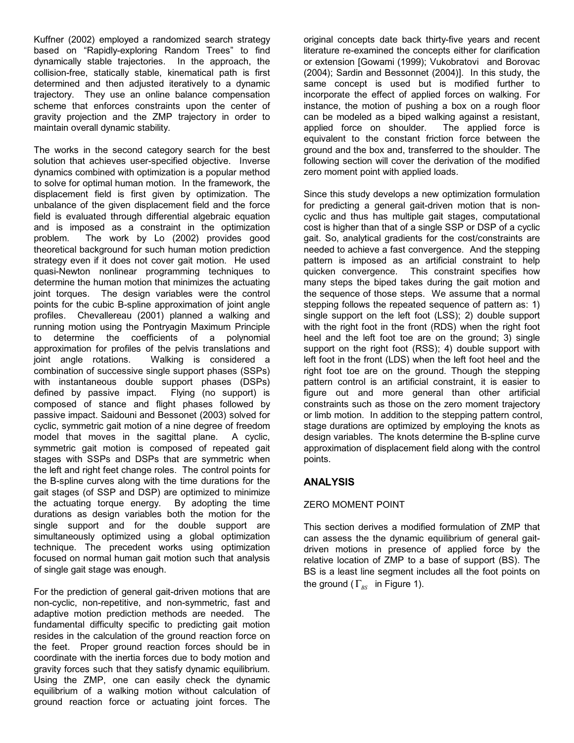Kuffner (2002) employed a randomized search strategy based on "Rapidly-exploring Random Trees" to find dynamically stable trajectories. In the approach, the collision-free, statically stable, kinematical path is first determined and then adjusted iteratively to a dynamic trajectory. They use an online balance compensation scheme that enforces constraints upon the center of gravity projection and the ZMP trajectory in order to maintain overall dynamic stability.

The works in the second category search for the best solution that achieves user-specified objective. Inverse dynamics combined with optimization is a popular method to solve for optimal human motion. In the framework, the displacement field is first given by optimization. The unbalance of the given displacement field and the force field is evaluated through differential algebraic equation and is imposed as a constraint in the optimization problem. The work by Lo (2002) provides good theoretical background for such human motion prediction strategy even if it does not cover gait motion. He used quasi-Newton nonlinear programming techniques to determine the human motion that minimizes the actuating joint torques. The design variables were the control points for the cubic B-spline approximation of joint angle profiles. Chevallereau (2001) planned a walking and running motion using the Pontryagin Maximum Principle to determine the coefficients of a polynomial approximation for profiles of the pelvis translations and joint angle rotations. Walking is considered a combination of successive single support phases (SSPs) with instantaneous double support phases (DSPs) defined by passive impact. Flying (no support) is composed of stance and flight phases followed by passive impact. Saidouni and Bessonet (2003) solved for cyclic, symmetric gait motion of a nine degree of freedom model that moves in the sagittal plane. A cyclic, symmetric gait motion is composed of repeated gait stages with SSPs and DSPs that are symmetric when the left and right feet change roles. The control points for the B-spline curves along with the time durations for the gait stages (of SSP and DSP) are optimized to minimize the actuating torque energy. By adopting the time durations as design variables both the motion for the single support and for the double support are simultaneously optimized using a global optimization technique. The precedent works using optimization focused on normal human gait motion such that analysis of single gait stage was enough.

For the prediction of general gait-driven motions that are non-cyclic, non-repetitive, and non-symmetric, fast and adaptive motion prediction methods are needed. The fundamental difficulty specific to predicting gait motion resides in the calculation of the ground reaction force on the feet. Proper ground reaction forces should be in coordinate with the inertia forces due to body motion and gravity forces such that they satisfy dynamic equilibrium. Using the ZMP, one can easily check the dynamic equilibrium of a walking motion without calculation of ground reaction force or actuating joint forces. The

original concepts date back thirty-five years and recent literature re-examined the concepts either for clarification or extension [Gowami (1999); Vukobratovi and Borovac (2004); Sardin and Bessonnet (2004)]. In this study, the same concept is used but is modified further to incorporate the effect of applied forces on walking. For instance, the motion of pushing a box on a rough floor can be modeled as a biped walking against a resistant, applied force on shoulder. The applied force is equivalent to the constant friction force between the ground and the box and, transferred to the shoulder. The following section will cover the derivation of the modified zero moment point with applied loads.

Since this study develops a new optimization formulation for predicting a general gait-driven motion that is noncyclic and thus has multiple gait stages, computational cost is higher than that of a single SSP or DSP of a cyclic gait. So, analytical gradients for the cost/constraints are needed to achieve a fast convergence. And the stepping pattern is imposed as an artificial constraint to help quicken convergence. This constraint specifies how many steps the biped takes during the gait motion and the sequence of those steps. We assume that a normal stepping follows the repeated sequence of pattern as: 1) single support on the left foot (LSS); 2) double support with the right foot in the front (RDS) when the right foot heel and the left foot toe are on the ground; 3) single support on the right foot (RSS); 4) double support with left foot in the front (LDS) when the left foot heel and the right foot toe are on the ground. Though the stepping pattern control is an artificial constraint, it is easier to figure out and more general than other artificial constraints such as those on the zero moment trajectory or limb motion. In addition to the stepping pattern control, stage durations are optimized by employing the knots as design variables. The knots determine the B-spline curve approximation of displacement field along with the control points.

# **ANALYSIS**

# ZERO MOMENT POINT

This section derives a modified formulation of ZMP that can assess the the dynamic equilibrium of general gaitdriven motions in presence of applied force by the relative location of ZMP to a base of support (BS). The BS is a least line segment includes all the foot points on the ground  $(\Gamma_{\text{BS}})$  in Figure 1).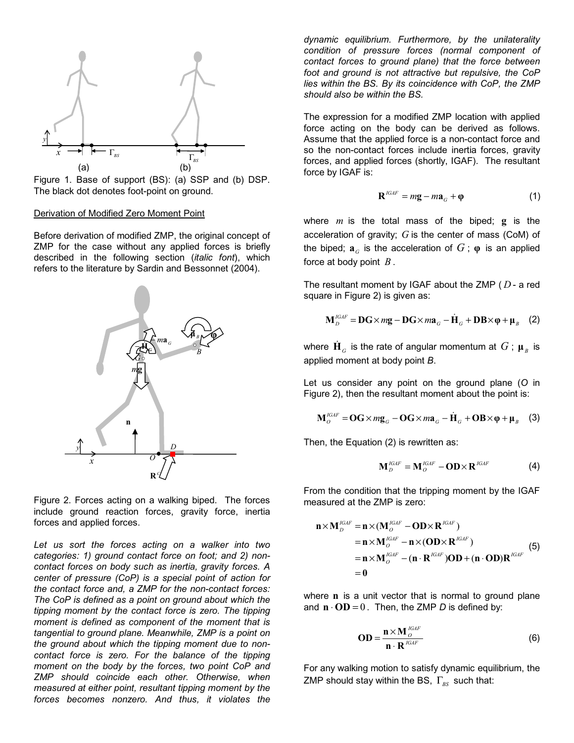

Figure 1. Base of support (BS): (a) SSP and (b) DSP. The black dot denotes foot-point on ground.

#### Derivation of Modified Zero Moment Point

Before derivation of modified ZMP, the original concept of ZMP for the case without any applied forces is briefly described in the following section (italic font), which refers to the literature by Sardin and Bessonnet (2004).



Figure 2. Forces acting on a walking biped. The forces include ground reaction forces, gravity force, inertia forces and applied forces.

Let us sort the forces acting on a walker into two categories: 1) ground contact force on foot; and 2) noncontact forces on body such as inertia, gravity forces. A center of pressure (CoP) is a special point of action for the contact force and, a ZMP for the non-contact forces: The CoP is defined as a point on ground about which the tipping moment by the contact force is zero. The tipping moment is defined as component of the moment that is tangential to ground plane. Meanwhile, ZMP is a point on the ground about which the tipping moment due to noncontact force is zero. For the balance of the tipping moment on the body by the forces, two point CoP and ZMP should coincide each other. Otherwise, when measured at either point, resultant tipping moment by the forces becomes nonzero. And thus, it violates the dynamic equilibrium. Furthermore, by the unilaterality condition of pressure forces (normal component of contact forces to ground plane) that the force between foot and ground is not attractive but repulsive, the CoP lies within the BS. By its coincidence with CoP, the ZMP should also be within the BS.

The expression for a modified ZMP location with applied force acting on the body can be derived as follows. Assume that the applied force is a non-contact force and so the non-contact forces include inertia forces, gravity forces, and applied forces (shortly, IGAF). The resultant force by IGAF is:

$$
\mathbf{R}^{IGAF} = m\mathbf{g} - m\mathbf{a}_G + \mathbf{\varphi} \tag{1}
$$

where *m* is the total mass of the biped; **g** is the acceleration of gravity; *G* is the center of mass (CoM) of the biped;  $\mathbf{a}_c$  is the acceleration of  $G$ ;  $\varphi$  is an applied force at body point *B* .

The resultant moment by IGAF about the ZMP ( *D* - a red square in Figure 2) is given as:

$$
\mathbf{M}_{D}^{IGAF} = \mathbf{D}\mathbf{G} \times m\mathbf{g} - \mathbf{D}\mathbf{G} \times m\mathbf{a}_{G} - \dot{\mathbf{H}}_{G} + \mathbf{D}\mathbf{B} \times \mathbf{\varphi} + \mathbf{\mu}_{B} \quad (2)
$$

where  $\mathbf{H}_{G}$  is the rate of angular momentum at  $G$ ;  $\boldsymbol{\mu}_{B}$  is applied moment at body point B.

Let us consider any point on the ground plane (O in Figure 2), then the resultant moment about the point is:

$$
\mathbf{M}_{O}^{IGAF} = \mathbf{OG} \times m\mathbf{g}_{G} - \mathbf{OG} \times m\mathbf{a}_{G} - \dot{\mathbf{H}}_{G} + \mathbf{OB} \times \varphi + \mathbf{\mu}_{B} \quad (3)
$$

Then, the Equation (2) is rewritten as:

$$
\mathbf{M}_{D}^{IGAF} = \mathbf{M}_{O}^{IGAF} - \mathbf{OD} \times \mathbf{R}^{IGAF}
$$
 (4)

From the condition that the tripping moment by the IGAF measured at the ZMP is zero:

$$
\mathbf{n} \times \mathbf{M}_{D}^{IGAF} = \mathbf{n} \times (\mathbf{M}_{O}^{IGAF} - \mathbf{OD} \times \mathbf{R}^{IGAF})
$$
  
=  $\mathbf{n} \times \mathbf{M}_{O}^{IGAF} - \mathbf{n} \times (\mathbf{OD} \times \mathbf{R}^{IGAF})$   
=  $\mathbf{n} \times \mathbf{M}_{O}^{IGAF} - (\mathbf{n} \cdot \mathbf{R}^{IGAF}) \mathbf{OD} + (\mathbf{n} \cdot \mathbf{OD}) \mathbf{R}^{IGAF}$  (5)  
= 0

where **n** is a unit vector that is normal to ground plane and  $\mathbf{n} \cdot \mathbf{OD} = 0$ . Then, the ZMP D is defined by:

$$
OD = \frac{n \times M_o^{\text{IGAF}}}{n \cdot R^{\text{IGAF}}}
$$
 (6)

For any walking motion to satisfy dynamic equilibrium, the ZMP should stay within the BS,  $\Gamma_{BS}$  such that: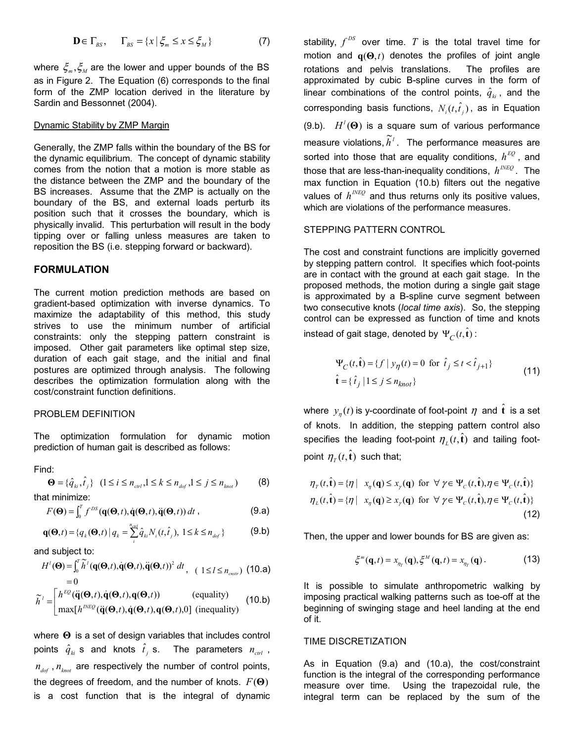$$
\mathbf{D} \in \Gamma_{BS}, \qquad \Gamma_{BS} = \{x \mid \xi_m \le x \le \xi_M\} \tag{7}
$$

where  $\zeta_m$ , $\zeta_M$  are the lower and upper bounds of the BS as in Figure 2. The Equation (6) corresponds to the final form of the ZMP location derived in the literature by Sardin and Bessonnet (2004).

#### Dynamic Stability by ZMP Margin

Generally, the ZMP falls within the boundary of the BS for the dynamic equilibrium. The concept of dynamic stability comes from the notion that a motion is more stable as the distance between the ZMP and the boundary of the BS increases. Assume that the ZMP is actually on the boundary of the BS, and external loads perturb its position such that it crosses the boundary, which is physically invalid. This perturbation will result in the body tipping over or falling unless measures are taken to reposition the BS (i.e. stepping forward or backward).

## **FORMULATION**

The current motion prediction methods are based on gradient-based optimization with inverse dynamics. To maximize the adaptability of this method, this study strives to use the minimum number of artificial constraints: only the stepping pattern constraint is imposed. Other gait parameters like optimal step size, duration of each gait stage, and the initial and final postures are optimized through analysis. The following describes the optimization formulation along with the cost/constraint function definitions.

#### PROBLEM DEFINITION

The optimization formulation for dynamic motion prediction of human gait is described as follows:

Find:

$$
\mathbf{\Theta} = \{\hat{q}_{_{ki}}, \hat{t}_{_j}\} \quad (1 \le i \le n_{_{ctrl}}, 1 \le k \le n_{_{dof}}, 1 \le j \le n_{_{knot}}) \tag{8}
$$

that minimize:

$$
F(\mathbf{\Theta}) = \int_0^T f^{DS}(\mathbf{q}(\mathbf{\Theta}, t), \dot{\mathbf{q}}(\mathbf{\Theta}, t), \ddot{\mathbf{q}}(\mathbf{\Theta}, t)) dt ,
$$
 (9.a)

$$
\mathbf{q}(\mathbf{\Theta},t) = \{q_k(\mathbf{\Theta},t) \, | \, q_k = \sum_{i}^{n_{\text{def}}}{\hat{q}_{ki}N_i(t,\hat{t}_j), \, 1 \le k \le n_{\text{dof}}} \tag{9.b}
$$

and subject to:

$$
H^{l}(\mathbf{\Theta}) = \int_{0}^{T} \widetilde{h}^{l}(\mathbf{q}(\mathbf{\Theta},t), \dot{\mathbf{q}}(\mathbf{\Theta},t), \ddot{\mathbf{q}}(\mathbf{\Theta},t))^{2} dt, \quad (1 \leq l \leq n_{\text{cnstr}}) \tag{10.8}
$$
  
= 0

$$
\widetilde{h}^i = \begin{bmatrix} h^{EQ}(\ddot{\mathbf{q}}(\mathbf{\Theta},t), \dot{\mathbf{q}}(\mathbf{\Theta},t), \mathbf{q}(\mathbf{\Theta},t)) & \text{(equality)} \\ \max[h^{NEQ}(\ddot{\mathbf{q}}(\mathbf{\Theta},t), \dot{\mathbf{q}}(\mathbf{\Theta},t), \mathbf{q}(\mathbf{\Theta},t), 0] & \text{(inequality)} \end{bmatrix} \tag{10.b}
$$

where **Θ** is a set of design variables that includes control points  $\hat{q}_{ki}$  s and knots  $\hat{t}_j$  s. The parameters  $n_{\text{crit}}$  ,  $n_{\text{dof}}$ ,  $n_{\text{knot}}$  are respectively the number of control points, the degrees of freedom, and the number of knots. *F*(**Θ**) is a cost function that is the integral of dynamic

stability,  $f^{DS}$  over time. T is the total travel time for motion and **q**(**Θ**,*t*) denotes the profiles of joint angle rotations and pelvis translations. The profiles are approximated by cubic B-spline curves in the form of linear combinations of the control points,  $\hat{q}_{ki}$ , and the corresponding basis functions,  $N_i(t, \hat{t}_i)$ , as in Equation (9.b).  $H^1(\Theta)$  is a square sum of various performance measure violations,  $\widetilde{h}^i$  . The performance measures are sorted into those that are equality conditions,  $h^{EQ}$ , and those that are less-than-inequality conditions,  $h^{NEG}$ . The max function in Equation (10.b) filters out the negative values of  $h^{NEC}$  and thus returns only its positive values, which are violations of the performance measures.

#### STEPPING PATTERN CONTROL

The cost and constraint functions are implicitly governed by stepping pattern control. It specifies which foot-points are in contact with the ground at each gait stage. In the proposed methods, the motion during a single gait stage is approximated by a B-spline curve segment between two consecutive knots (local time axis). So, the stepping control can be expressed as function of time and knots

instead of gait stage, denoted by  $\Psi_C(t, \hat{\mathbf{t}})$ :

$$
\Psi_C(t, \hat{\mathbf{t}}) = \{ f \mid y_{\eta}(t) = 0 \text{ for } \hat{t}_j \le t < \hat{t}_{j+1} \}
$$
  
\n
$$
\hat{\mathbf{t}} = \{ \hat{t}_j \mid 1 \le j \le n_{knot} \}
$$
\n(11)

where  $y_{\eta}(t)$  is y-coordinate of foot-point  $\eta$  and  $\hat{\textbf{t}}$  is a set of knots. In addition, the stepping pattern control also specifies the leading foot-point  $\eta_i(t, \hat{t})$  and tailing footpoint  $\eta_{\tau}(t,\hat{\mathbf{t}})$  such that;

$$
\eta_{\tau}(t,\hat{\mathbf{t}}) = \{\eta \mid x_{\eta}(\mathbf{q}) \le x_{\gamma}(\mathbf{q}) \text{ for } \forall \gamma \in \Psi_{C}(t,\hat{\mathbf{t}}), \eta \in \Psi_{C}(t,\hat{\mathbf{t}})\}\
$$

$$
\eta_{L}(t,\hat{\mathbf{t}}) = \{\eta \mid x_{\eta}(\mathbf{q}) \ge x_{\gamma}(\mathbf{q}) \text{ for } \forall \gamma \in \Psi_{C}(t,\hat{\mathbf{t}}), \eta \in \Psi_{C}(t,\hat{\mathbf{t}})\}\
$$
(12)

Then, the upper and lower bounds for BS are given as:

$$
\xi^{m}(\mathbf{q},t) = x_{\eta_{T}}(\mathbf{q}), \xi^{M}(\mathbf{q},t) = x_{\eta_{T}}(\mathbf{q}).
$$
 (13)

It is possible to simulate anthropometric walking by imposing practical walking patterns such as toe-off at the beginning of swinging stage and heel landing at the end of it.

#### TIME DISCRETIZATION

As in Equation (9.a) and (10.a), the cost/constraint function is the integral of the corresponding performance measure over time. Using the trapezoidal rule, the integral term can be replaced by the sum of the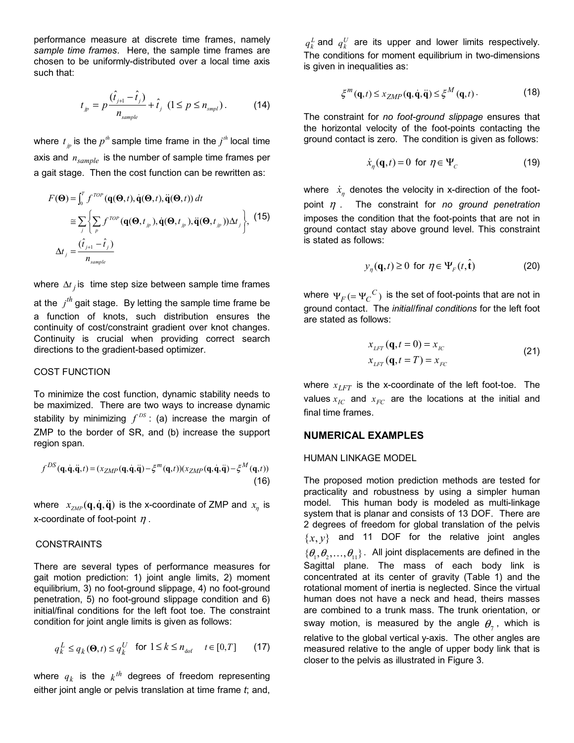performance measure at discrete time frames, namely sample time frames. Here, the sample time frames are chosen to be uniformly-distributed over a local time axis such that:

$$
t_{jp} = p \frac{(\hat{t}_{j+1} - \hat{t}_j)}{n_{sample}} + \hat{t}_j \ \ (1 \le p \le n_{\text{smpl}}) \,. \tag{14}
$$

where  $t_{\hat{p}}$  is the  $p^{\hat{m}}$  sample time frame in the  $j^{\hat{m}}$  local time axis and  $n_{sample}$  is the number of sample time frames per a gait stage. Then the cost function can be rewritten as:

$$
F(\mathbf{\Theta}) = \int_0^T f^{TOP} (\mathbf{q}(\mathbf{\Theta}, t), \dot{\mathbf{q}}(\mathbf{\Theta}, t), \ddot{\mathbf{q}}(\mathbf{\Theta}, t)) dt
$$
  
\n
$$
\approx \sum_j \left\{ \sum_p f^{TOP} (\mathbf{q}(\mathbf{\Theta}, t_p), \dot{\mathbf{q}}(\mathbf{\Theta}, t_p), \ddot{\mathbf{q}}(\mathbf{\Theta}, t_p)) \Delta t_j \right\}, (15)
$$
  
\n
$$
\Delta t_j = \frac{(\hat{t}_{j+1} - \hat{t}_j)}{n_{sample}}
$$

where  $\Delta t$  is time step size between sample time frames

at the  $j<sup>th</sup>$  gait stage. By letting the sample time frame be a function of knots, such distribution ensures the continuity of cost/constraint gradient over knot changes. Continuity is crucial when providing correct search directions to the gradient-based optimizer.

#### COST FUNCTION

To minimize the cost function, dynamic stability needs to be maximized. There are two ways to increase dynamic stability by minimizing  $f^{DS}$ : (a) increase the margin of ZMP to the border of SR, and (b) increase the support region span.

$$
f^{DS}(\mathbf{q}, \dot{\mathbf{q}}, \ddot{\mathbf{q}}, t) = (x_{ZMP}(\mathbf{q}, \dot{\mathbf{q}}, \ddot{\mathbf{q}}) - \xi^m(\mathbf{q}, t))(x_{ZMP}(\mathbf{q}, \dot{\mathbf{q}}, \ddot{\mathbf{q}}) - \xi^M(\mathbf{q}, t))
$$
\n(16)

where  $x_{ZMP}(\mathbf{q}, \dot{\mathbf{q}}, \ddot{\mathbf{q}})$  is the x-coordinate of ZMP and  $x_n$  is x-coordinate of foot-point  $\eta$ .

#### CONSTRAINTS

There are several types of performance measures for gait motion prediction: 1) joint angle limits, 2) moment equilibrium, 3) no foot-ground slippage, 4) no foot-ground penetration, 5) no foot-ground slippage condition and 6) initial/final conditions for the left foot toe. The constraint condition for joint angle limits is given as follows:

$$
q_k^L \le q_k(\mathbf{\Theta}, t) \le q_k^U \quad \text{for } 1 \le k \le n_{\text{dof}} \quad t \in [0, T] \tag{17}
$$

where  $q_k$  is the  $k^{th}$  degrees of freedom representing either joint angle or pelvis translation at time frame t; and,

 $q_k^L$  and  $q_k^U$  are its upper and lower limits respectively. The conditions for moment equilibrium in two-dimensions is given in inequalities as:

$$
\xi^{m}(\mathbf{q},t) \leq x_{ZMP}(\mathbf{q},\dot{\mathbf{q}},\ddot{\mathbf{q}}) \leq \xi^{M}(\mathbf{q},t). \tag{18}
$$

The constraint for no foot-ground slippage ensures that the horizontal velocity of the foot-points contacting the ground contact is zero. The condition is given as follows:

$$
\dot{x}_{\eta}(\mathbf{q},t) = 0 \text{ for } \eta \in \Psi_c \tag{19}
$$

where  $\dot{x}_n$  denotes the velocity in x-direction of the footpoint  $\eta$ . The constraint for no ground penetration imposes the condition that the foot-points that are not in ground contact stay above ground level. This constraint is stated as follows:

$$
y_{\eta}(\mathbf{q},t) \ge 0 \text{ for } \eta \in \Psi_F(t,\hat{\mathbf{t}})
$$
 (20)

where  $\Psi_F = \Psi_C^C$  is the set of foot-points that are not in ground contact. The initial/final conditions for the left foot are stated as follows:

$$
x_{LFT}(\mathbf{q}, t=0) = x_{IC}
$$
  
\n
$$
x_{LFT}(\mathbf{q}, t=T) = x_{FC}
$$
 (21)

where  $x_{LFT}$  is the x-coordinate of the left foot-toe. The values  $x_{IC}$  and  $x_{FC}$  are the locations at the initial and final time frames.

#### **NUMERICAL EXAMPLES**

#### HUMAN LINKAGE MODEL

The proposed motion prediction methods are tested for practicality and robustness by using a simpler human model. This human body is modeled as multi-linkage system that is planar and consists of 13 DOF. There are 2 degrees of freedom for global translation of the pelvis  ${x, y}$  and 11 DOF for the relative joint angles  $\{\theta_1, \theta_2, \dots, \theta_n\}$ . All joint displacements are defined in the Sagittal plane. The mass of each body link is concentrated at its center of gravity (Table 1) and the rotational moment of inertia is neglected. Since the virtual human does not have a neck and head, theirs masses are combined to a trunk mass. The trunk orientation, or sway motion, is measured by the angle  $\theta$ <sub>7</sub>, which is relative to the global vertical y-axis. The other angles are measured relative to the angle of upper body link that is closer to the pelvis as illustrated in Figure 3.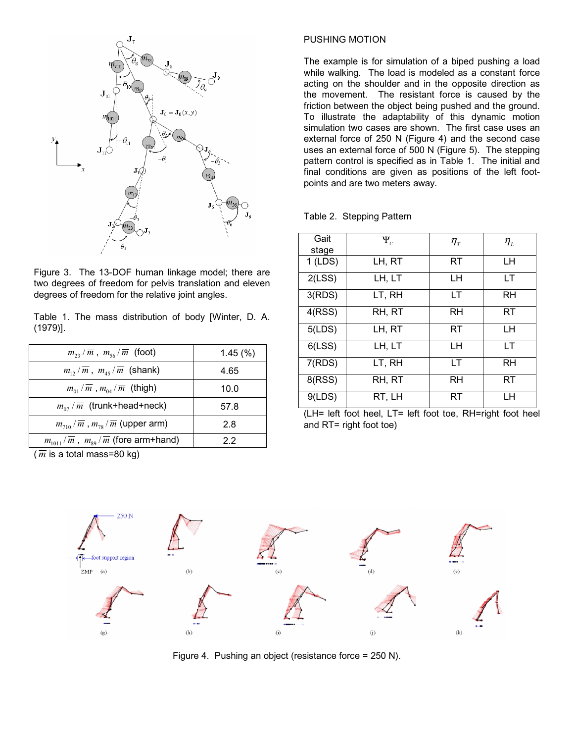

Figure 3. The 13-DOF human linkage model; there are two degrees of freedom for pelvis translation and eleven degrees of freedom for the relative joint angles.

Table 1. The mass distribution of body [Winter, D. A. (1979)].

| $m_{23}/\overline{m}$ , $m_{56}/\overline{m}$ (foot)            | $1.45\,(%)$ |
|-----------------------------------------------------------------|-------------|
| $m_{12}/\overline{m}$ , $m_{45}/\overline{m}$ (shank)           | 4.65        |
| $m_{01}/\overline{m}$ , $m_{04}/\overline{m}$ (thigh)           | 10.0        |
| $m_{07}/\overline{m}$ (trunk+head+neck)                         | 57.8        |
| $m_{710}/\overline{m}$ , $m_{78}/\overline{m}$ (upper arm)      | 2.8         |
| $m_{1011}/\overline{m}$ , $m_{89}/\overline{m}$ (fore arm+hand) | 22          |

 $(m \text{ is a total mass}=80 \text{ kg})$ 

## PUSHING MOTION

The example is for simulation of a biped pushing a load while walking. The load is modeled as a constant force acting on the shoulder and in the opposite direction as the movement. The resistant force is caused by the friction between the object being pushed and the ground. To illustrate the adaptability of this dynamic motion simulation two cases are shown. The first case uses an external force of 250 N (Figure 4) and the second case uses an external force of 500 N (Figure 5). The stepping pattern control is specified as in Table 1. The initial and final conditions are given as positions of the left footpoints and are two meters away.

| Gait<br>stage | $\Psi_c$ | $\eta_{\scriptscriptstyle T}$ | $\eta_{L}$ |
|---------------|----------|-------------------------------|------------|
| $1$ (LDS)     | LH, RT   | RT                            | LН         |
| 2(LSS)        | LH, LT   | LH                            | LT         |
| 3(RDS)        | LT, RH   | LT                            | RH         |
| 4(RSS)        | RH, RT   | RH                            | RT         |
| 5(LDS)        | LH, RT   | RT                            | LН         |
| 6(LSS)        | LH, LT   | LH                            | LT         |
| 7(RDS)        | LT, RH   | LT                            | RH         |
| 8(RSS)        | RH, RT   | RH                            | RT         |
| 9(LDS)        | RT, LH   | RT                            | LН         |

(LH= left foot heel, LT= left foot toe, RH=right foot heel and RT= right foot toe)



Figure 4. Pushing an object (resistance force = 250 N).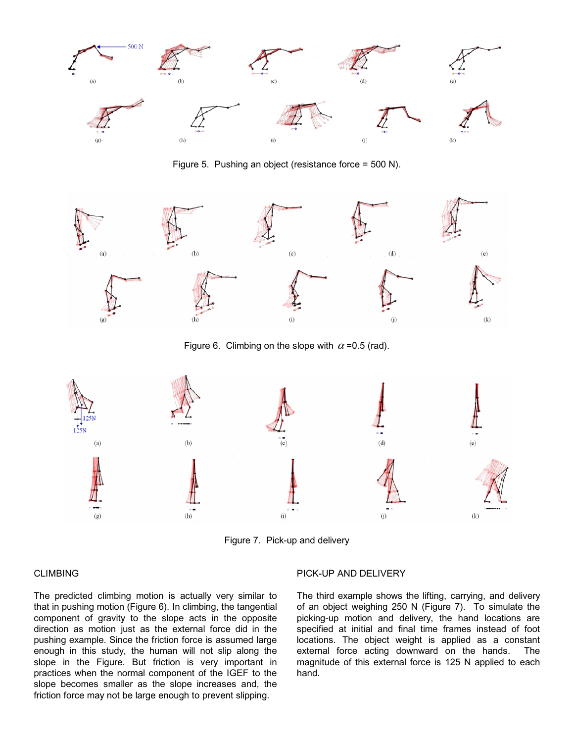

Figure 5. Pushing an object (resistance force = 500 N).



Figure 6. Climbing on the slope with  $\alpha$  =0.5 (rad).



Figure 7. Pick-up and delivery

#### CLIMBING

The predicted climbing motion is actually very similar to that in pushing motion (Figure 6). In climbing, the tangential component of gravity to the slope acts in the opposite direction as motion just as the external force did in the pushing example. Since the friction force is assumed large enough in this study, the human will not slip along the slope in the Figure. But friction is very important in practices when the normal component of the IGEF to the slope becomes smaller as the slope increases and, the friction force may not be large enough to prevent slipping.

#### PICK-UP AND DELIVERY

The third example shows the lifting, carrying, and delivery of an object weighing 250 N (Figure 7). To simulate the picking-up motion and delivery, the hand locations are specified at initial and final time frames instead of foot locations. The object weight is applied as a constant external force acting downward on the hands. The magnitude of this external force is 125 N applied to each hand.